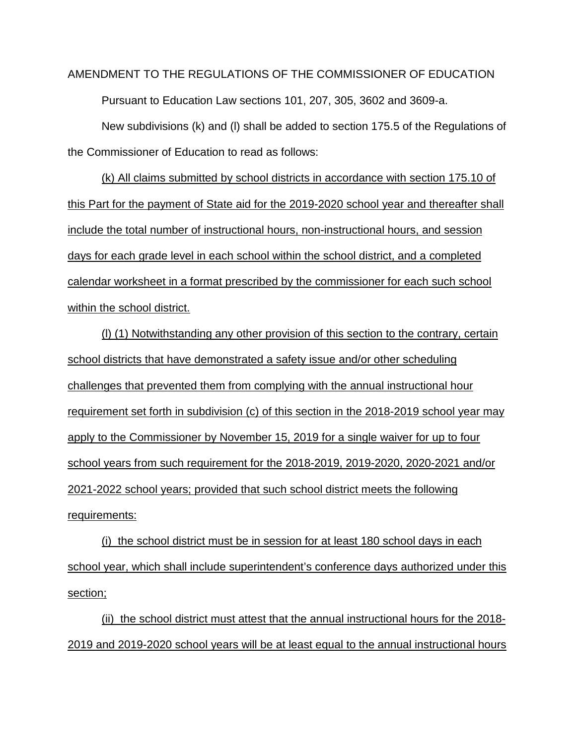AMENDMENT TO THE REGULATIONS OF THE COMMISSIONER OF EDUCATION Pursuant to Education Law sections 101, 207, 305, 3602 and 3609-a.

New subdivisions (k) and (l) shall be added to section 175.5 of the Regulations of the Commissioner of Education to read as follows:

(k) All claims submitted by school districts in accordance with section 175.10 of this Part for the payment of State aid for the 2019-2020 school year and thereafter shall include the total number of instructional hours, non-instructional hours, and session days for each grade level in each school within the school district, and a completed calendar worksheet in a format prescribed by the commissioner for each such school within the school district.

(l) (1) Notwithstanding any other provision of this section to the contrary, certain school districts that have demonstrated a safety issue and/or other scheduling challenges that prevented them from complying with the annual instructional hour requirement set forth in subdivision (c) of this section in the 2018-2019 school year may apply to the Commissioner by November 15, 2019 for a single waiver for up to four school years from such requirement for the 2018-2019, 2019-2020, 2020-2021 and/or 2021-2022 school years; provided that such school district meets the following requirements:

(i) the school district must be in session for at least 180 school days in each school year, which shall include superintendent's conference days authorized under this section;

(ii) the school district must attest that the annual instructional hours for the 2018- 2019 and 2019-2020 school years will be at least equal to the annual instructional hours